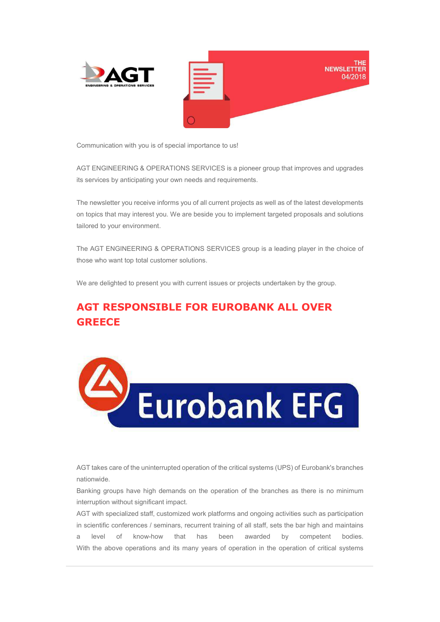



Communication with you is of special importance to us!

AGT ENGINEERING & OPERATIONS SERVICES is a pioneer group that improves and upgrades its services by anticipating your own needs and requirements.

The newsletter you receive informs you of all current projects as well as of the latest developments on topics that may interest you. We are beside you to implement targeted proposals and solutions tailored to your environment.

The AGT ENGINEERING & OPERATIONS SERVICES group is a leading player in the choice of those who want top total customer solutions.

We are delighted to present you with current issues or projects undertaken by the group.

## AGT RESPONSIBLE FOR EUROBANK ALL OVER **GREECE**



AGT takes care of the uninterrupted operation of the critical systems (UPS) of Eurobank's branches nationwide.

Banking groups have high demands on the operation of the branches as there is no minimum interruption without significant impact.

AGT with specialized staff, customized work platforms and ongoing activities such as participation in scientific conferences / seminars, recurrent training of all staff, sets the bar high and maintains a level of know-how that has been awarded by competent bodies. With the above operations and its many years of operation in the operation of critical systems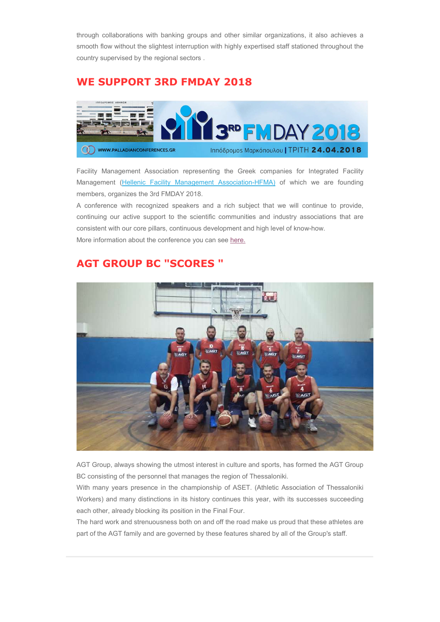through collaborations with banking groups and other similar organizations, it also achieves a smooth flow without the slightest interruption with highly expertised staff stationed throughout the country supervised by the regional sectors .

## WE SUPPORT 3RD FMDAY 2018



Facility Management Association representing the Greek companies for Integrated Facility Management (Hellenic Facility Management Association-HFMA) of which we are founding members, organizes the 3rd FMDAY 2018.

A conference with recognized speakers and a rich subject that we will continue to provide, continuing our active support to the scientific communities and industry associations that are consistent with our core pillars, continuous development and high level of know-how. More information about the conference you can see here.

## AGT GROUP BC "SCORES "



AGT Group, always showing the utmost interest in culture and sports, has formed the AGT Group BC consisting of the personnel that manages the region of Thessaloniki.

With many years presence in the championship of ASET. (Athletic Association of Thessaloniki Workers) and many distinctions in its history continues this year, with its successes succeeding each other, already blocking its position in the Final Four.

The hard work and strenuousness both on and off the road make us proud that these athletes are part of the AGT family and are governed by these features shared by all of the Group's staff.